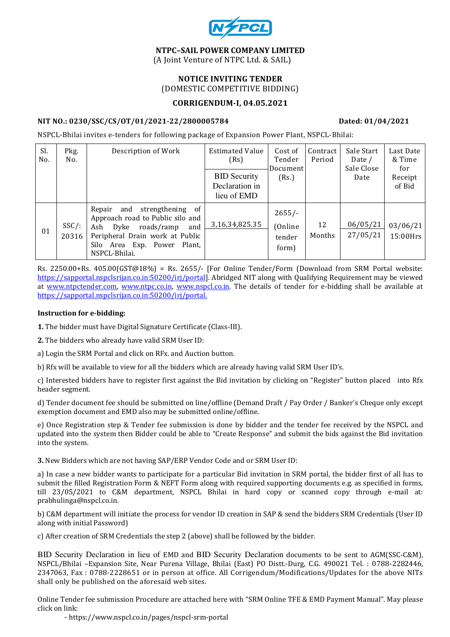

#### NTPC–SAIL POWER COMPANY LIMITED (A Joint Venture of NTPC Ltd. & SAIL)

# NOTICE INVITING TENDER (DOMESTIC COMPETITIVE BIDDING)

## CORRIGENDUM-I, 04.05.2021

## NIT NO.: 0230/SSC/CS/OT/01/2021-22/2800005784 Dated: 01/04/2021

NSPCL-Bhilai invites e-tenders for following package of Expansion Power Plant, NSPCL-Bhilai:

| Sl.<br>No. | Pkg.<br>No.       | Description of Work                                                                                                                                                                       | <b>Estimated Value</b><br>(Rs)                       | Cost of<br>Tender<br>Document          | Contract<br>Period | Sale Start<br>Date /<br>Sale Close | Last Date<br>& Time<br>for |
|------------|-------------------|-------------------------------------------------------------------------------------------------------------------------------------------------------------------------------------------|------------------------------------------------------|----------------------------------------|--------------------|------------------------------------|----------------------------|
|            |                   |                                                                                                                                                                                           | <b>BID Security</b><br>Declaration in<br>lieu of EMD | (Rs.)                                  |                    | Date                               | Receipt<br>of Bid          |
| 01         | $SSC/$ :<br>20316 | and strengthening of<br>Repair<br>Approach road to Public silo and<br>roads/ramp<br>Ash Dyke<br>and<br>Peripheral Drain work at Public<br>Silo Area Exp. Power<br>Plant.<br>NSPCL-Bhilai. | 3, 16, 34, 825. 35                                   | $2655/-$<br>(Online<br>tender<br>form) | 12<br>Months       | 06/05/21<br>27/05/21               | 03/06/21<br>15:00Hrs       |

Rs. 2250.00+Rs. 405.00(GST@18%) = Rs. 2655/- [For Online Tender/Form (Download from SRM Portal website: https://sapportal.nspclsrijan.co.in:50200/irj/portal]. Abridged NIT along with Qualifying Requirement may be viewed at www.ntpctender.com, www.ntpc.co.in, www.nspcl.co.in. The details of tender for e-bidding shall be available at https://sapportal.nspclsrijan.co.in:50200/irj/portal.

## Instruction for e-bidding:

1. The bidder must have Digital Signature Certificate (Class-III).

2. The bidders who already have valid SRM User ID:

a) Login the SRM Portal and click on RFx. and Auction button.

b) Rfx will be available to view for all the bidders which are already having valid SRM User ID's.

c) Interested bidders have to register first against the Bid invitation by clicking on "Register" button placed into Rfx header segment.

d) Tender document fee should be submitted on line/offline (Demand Draft / Pay Order / Banker's Cheque only except exemption document and EMD also may be submitted online/offline.

e) Once Registration step & Tender fee submission is done by bidder and the tender fee received by the NSPCL and updated into the system then Bidder could be able to "Create Response" and submit the bids against the Bid invitation into the system.

3. New Bidders which are not having SAP/ERP Vendor Code and or SRM User ID:

a) In case a new bidder wants to participate for a particular Bid invitation in SRM portal, the bidder first of all has to submit the filled Registration Form & NEFT Form along with required supporting documents e.g. as specified in forms, till 23/05/2021 to C&M department, NSPCL Bhilai in hard copy or scanned copy through e-mail at: prabhulinga@nspcl.co.in.

b) C&M department will initiate the process for vendor ID creation in SAP & send the bidders SRM Credentials (User ID along with initial Password)

c) After creation of SRM Credentials the step 2 (above) shall be followed by the bidder.

BID Security Declaration in lieu of EMD and BID Security Declaration documents to be sent to AGM(SSC-C&M), NSPCL/Bhilai –Expansion Site, Near Purena Village, Bhilai (East) PO Distt.-Durg, C.G. 490021 Tel. : 0788-2282446, 2347063, Fax : 0788-2228651 or in person at office. All Corrigendum/Modifications/Updates for the above NITs shall only be published on the aforesaid web sites.

Online Tender fee submission Procedure are attached here with "SRM Online TFE & EMD Payment Manual". May please click on link:

- https://www.nspcl.co.in/pages/nspcl-srm-portal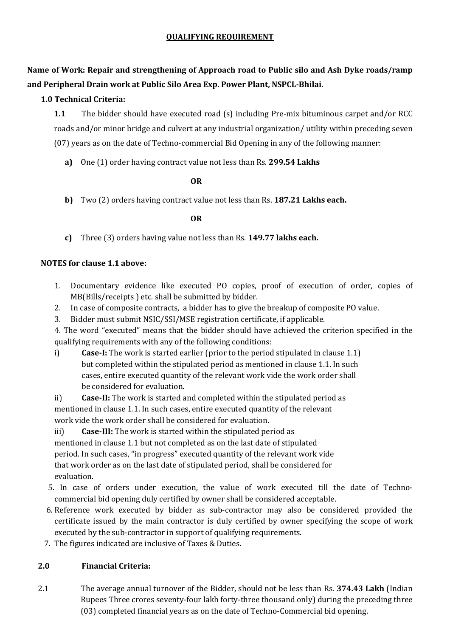# QUALIFYING REQUIREMENT

Name of Work: Repair and strengthening of Approach road to Public silo and Ash Dyke roads/ramp and Peripheral Drain work at Public Silo Area Exp. Power Plant, NSPCL-Bhilai.

## 1.0 Technical Criteria:

1.1 The bidder should have executed road (s) including Pre-mix bituminous carpet and/or RCC roads and/or minor bridge and culvert at any industrial organization/ utility within preceding seven (07) years as on the date of Techno-commercial Bid Opening in any of the following manner:

a) One (1) order having contract value not less than Rs. 299.54 Lakhs

## **OR** Service Service Service Service Service Service Service Service Service Service Service Service Service Service Service Service Service Service Service Service Service Service Service Service Service Service Service S

b) Two (2) orders having contract value not less than Rs. 187.21 Lakhs each.

**OR** Service Service Service Service Service Service Service Service Service Service Service Service Service Service Service Service Service Service Service Service Service Service Service Service Service Service Service S

c) Three (3) orders having value not less than Rs. 149.77 lakhs each.

## NOTES for clause 1.1 above:

- 1. Documentary evidence like executed PO copies, proof of execution of order, copies of MB(Bills/receipts ) etc. shall be submitted by bidder.
- 2. In case of composite contracts, a bidder has to give the breakup of composite PO value.
- 3. Bidder must submit NSIC/SSI/MSE registration certificate, if applicable.

4. The word "executed" means that the bidder should have achieved the criterion specified in the qualifying requirements with any of the following conditions:

- i) Case-I: The work is started earlier (prior to the period stipulated in clause 1.1) but completed within the stipulated period as mentioned in clause 1.1. In such cases, entire executed quantity of the relevant work vide the work order shall be considered for evaluation.
- ii) Case-II: The work is started and completed within the stipulated period as

 mentioned in clause 1.1. In such cases, entire executed quantity of the relevant work vide the work order shall be considered for evaluation.

iii) Case-III: The work is started within the stipulated period as mentioned in clause 1.1 but not completed as on the last date of stipulated period. In such cases, "in progress" executed quantity of the relevant work vide that work order as on the last date of stipulated period, shall be considered for evaluation.

- 5. In case of orders under execution, the value of work executed till the date of Techno commercial bid opening duly certified by owner shall be considered acceptable.
- 6. Reference work executed by bidder as sub-contractor may also be considered provided the certificate issued by the main contractor is duly certified by owner specifying the scope of work executed by the sub-contractor in support of qualifying requirements.
- 7. The figures indicated are inclusive of Taxes & Duties.

## 2.0 Financial Criteria:

2.1 The average annual turnover of the Bidder, should not be less than Rs. 374.43 Lakh (Indian Rupees Three crores seventy-four lakh forty-three thousand only) during the preceding three (03) completed financial years as on the date of Techno-Commercial bid opening.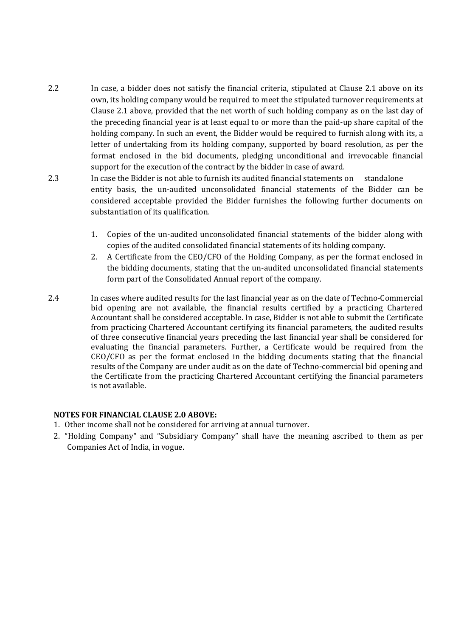- 2.2 In case, a bidder does not satisfy the financial criteria, stipulated at Clause 2.1 above on its own, its holding company would be required to meet the stipulated turnover requirements at Clause 2.1 above, provided that the net worth of such holding company as on the last day of the preceding financial year is at least equal to or more than the paid-up share capital of the holding company. In such an event, the Bidder would be required to furnish along with its, a letter of undertaking from its holding company, supported by board resolution, as per the format enclosed in the bid documents, pledging unconditional and irrevocable financial support for the execution of the contract by the bidder in case of award.
- 2.3 In case the Bidder is not able to furnish its audited financial statements on standalone entity basis, the un-audited unconsolidated financial statements of the Bidder can be considered acceptable provided the Bidder furnishes the following further documents on substantiation of its qualification.
	- 1. Copies of the un-audited unconsolidated financial statements of the bidder along with copies of the audited consolidated financial statements of its holding company.
	- 2. A Certificate from the CEO/CFO of the Holding Company, as per the format enclosed in the bidding documents, stating that the un-audited unconsolidated financial statements form part of the Consolidated Annual report of the company.
- 2.4 In cases where audited results for the last financial year as on the date of Techno-Commercial bid opening are not available, the financial results certified by a practicing Chartered Accountant shall be considered acceptable. In case, Bidder is not able to submit the Certificate from practicing Chartered Accountant certifying its financial parameters, the audited results of three consecutive financial years preceding the last financial year shall be considered for evaluating the financial parameters. Further, a Certificate would be required from the CEO/CFO as per the format enclosed in the bidding documents stating that the financial results of the Company are under audit as on the date of Techno-commercial bid opening and the Certificate from the practicing Chartered Accountant certifying the financial parameters is not available.

## NOTES FOR FINANCIAL CLAUSE 2.0 ABOVE:

- 1. Other income shall not be considered for arriving at annual turnover.
- 2. "Holding Company" and "Subsidiary Company" shall have the meaning ascribed to them as per Companies Act of India, in vogue.